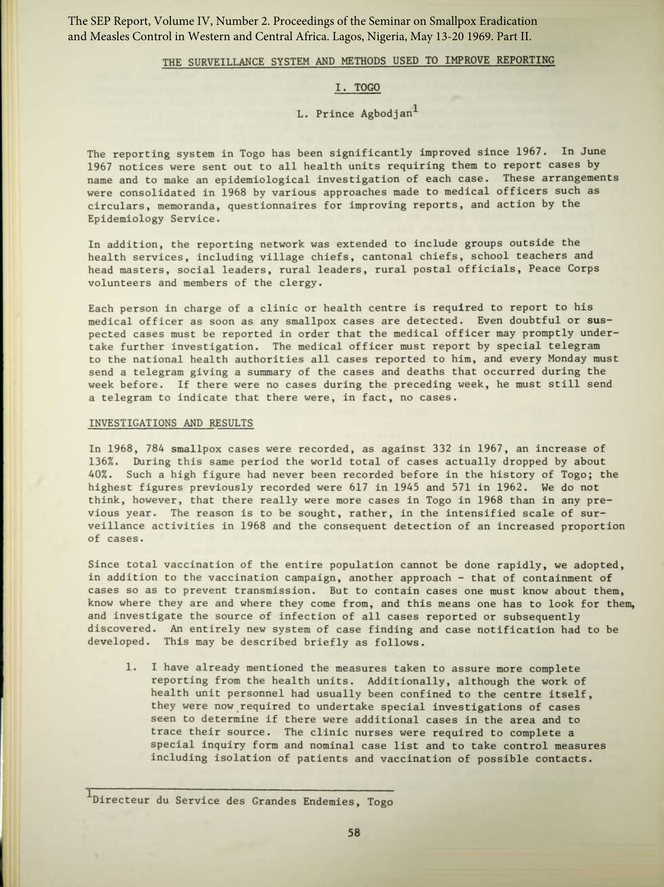The SEP Report, Volume IV, Number 2. Proceedings of the Seminar on Smallpox Eradication and Measles Control in Western and Central Africa. Lagos, Nigeria, May 13-20 1969. Part II.

## THE SURVEILLANCE SYSTEM AND METHODS USED TO IMPROVE REPORTING

## I. TOGO

## L. Prince Agbodjan<sup>1</sup>

The reporting system in Togo has been significantly improved since 1967. In June 1967 notices were sent out to all health units requiring them to report cases by name and to make an epidemiological investigation of each case. These arrangements were consolidated in 1968 by various approaches made to medical officers such as circulars, memoranda, questionnaires for improving reports, and action by the Epidemiology Service.

In addition, the reporting network was extended to include groups outside the health services, including village chiefs, cantonal chiefs, school teachers and head masters, social leaders, rural leaders, rural postal officials, Peace Corps volunteers and members of the clergy.

Each person in charge of a clinic or health centre is required to report to his medical officer as soon as any smallpox cases are detected . Even doubtful or suspected cases must be reported in order that the medical officer may promptly undertake further investigation. The medical officer must report by special telegram to the national health authorities all cases reported to him, and every Monday must send a telegram giving a summary of the cases and deaths that occurred during the week before. If there were no cases during the preceding week, he must still send a telegram to indicate that there were, in fact, no cases.

## INVESTIGATIONS AND RESULTS

In 1968, 784 smallpox cases were recorded, as against 332 in 1967, an increase of 136% . During this same period the world total of cases actually dropped by about 40%. Such a high figure had never been recorded before in the history of Togo; the highest figures previously recorded were 617 in 1945 and 571 in 1962. We do not think, however, that there really were more cases in Togo in 1968 than in any previous year. The reason is to be sought, rather, in the intensified scale of surveillance activities in 1968 and the consequent detection of an increased proportion of cases.

Since total vaccination of the entire population cannot be done rapidly, we adopted, in addition to the vaccination campaign, another approach - that of containment of cases so as to prevent transmission. But to contain cases one must know about them, know where they are and where they come from, and this means one has to look for them, and investigate the source of infection of all cases reported or subsequently discovered . An entirely new system of case finding and case notification had to be developed. This may be described briefly as follows.

1. I have already mentioned the measures taken to assure more complete reporting from the health units. Additionally, although the work of health unit personnel had usually been confined to the centre itself, they were now required to undertake special investigations of cases seen to determine if there were additional cases in the area and to trace their source. The clinic nurses were required to complete a special inquiry form and nominal case list and to take control measures including isolation of patients and vaccination of possible contacts.

<sup>1</sup>Directeur du Service des Grandes Endemies, Togo